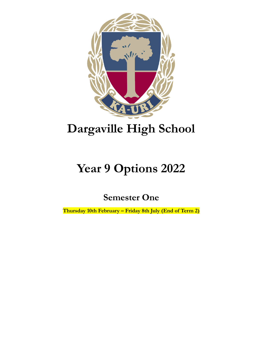

# **Dargaville High School**

## **Year 9 Options 2022**

**Semester One**

**Thursday 10th February – Friday 8th July (End of Term 2)**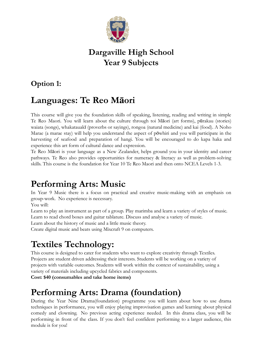

### **Dargaville High School Year 9 Subjects**

#### **Option 1:**

## **Languages: Te Reo Māori**

This course will give you the foundation skills of speaking, listening, reading and writing in simple Te Reo Maori. You will learn about the culture through toi Māori (art forms), pūrakau (stories) waiata (songs), whakatauakī (proverbs or sayings), rongoa (natural medicine) and kai (food). A Noho Marae (a marae stay) will help you understand the aspect of pōwhiri and you will participate in the harvesting of seafood and preparation of hangi. You will be encouraged to do kapa haka and experience this art form of cultural dance and expression.

Te Reo Māori is your language as a New Zealander, helps ground you in your identity and career pathways. Te Reo also provides opportunities for numeracy & literacy as well as problem-solving skills. This course is the foundation for Year 10 Te Reo Maori and then onto NCEA Levels 1-3.

## **Performing Arts: Music**

In Year 9 Music there is a focus on practical and creative music-making with an emphasis on group-work. No experience is necessary.

You will:

Learn to play an instrument as part of a group. Play marimba and learn a variety of styles of music. Learn to read chord boxes and guitar tablature. Discuss and analyse a variety of music.

Learn about the history of music and a little music theory.

Create digital music and beats using Mixcraft 9 on computers.

## **Textiles Technology:**

This course is designed to cater for students who want to explore creativity through Textiles. Projects are student driven addressing their interests. Students will be working on a variety of projects with variable outcomes. Students will work within the context of sustainability, using a variety of materials including upcycled fabrics and components.

**Cost: \$40 (consumables and take home items)**

## **Performing Arts: Drama (foundation)**

During the Year Nine Drama(foundation) programme you will learn about how to use drama techniques in performance, you will enjoy playing improvisation games and learning about physical comedy and clowning. No previous acting experience needed. In this drama class, you will be performing in front of the class. If you don't feel confident performing to a larger audience, this module is for you!